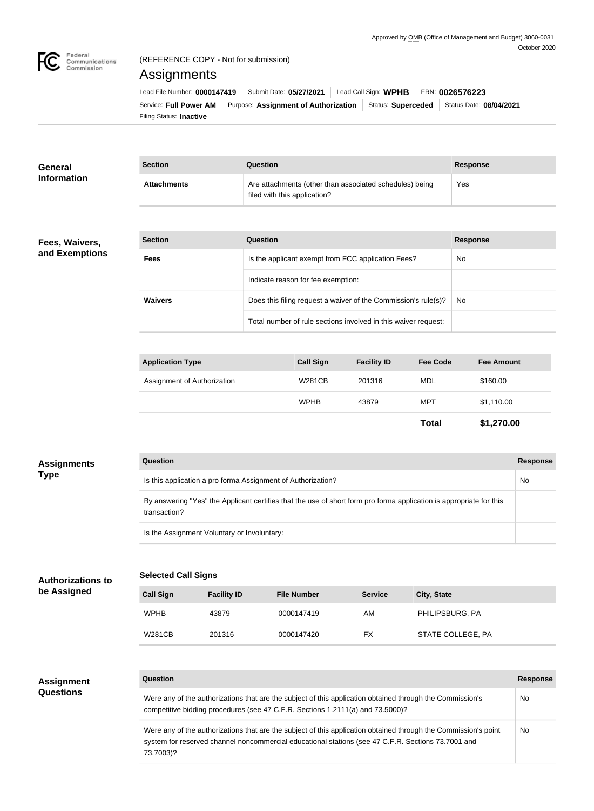

# (REFERENCE COPY - Not for submission)

# Assignments

| Lead File Number: 0000147419 | Submit Date: 05/27/2021 |                                      | Lead Call Sign: WPHB | FRN: 0026576223 |                                              |
|------------------------------|-------------------------|--------------------------------------|----------------------|-----------------|----------------------------------------------|
| Service: Full Power AM       |                         | Purpose: Assignment of Authorization |                      |                 | Status: Superceded   Status Date: 08/04/2021 |
| Filing Status: Inactive      |                         |                                      |                      |                 |                                              |

| <b>General</b><br><b>Information</b> | <b>Section</b>     | <b>Question</b>                                                                         | Response |
|--------------------------------------|--------------------|-----------------------------------------------------------------------------------------|----------|
|                                      | <b>Attachments</b> | Are attachments (other than associated schedules) being<br>filed with this application? | Yes      |
|                                      |                    |                                                                                         |          |

# **Fees, Waivers, and Exemptions**

| <b>Section</b> | Question                                                       | <b>Response</b> |
|----------------|----------------------------------------------------------------|-----------------|
| <b>Fees</b>    | Is the applicant exempt from FCC application Fees?             | No.             |
|                | Indicate reason for fee exemption:                             |                 |
| <b>Waivers</b> | Does this filing request a waiver of the Commission's rule(s)? | No.             |
|                | Total number of rule sections involved in this waiver request: |                 |

| <b>Application Type</b>     | <b>Call Sign</b> | <b>Facility ID</b> | <b>Fee Code</b> | <b>Fee Amount</b> |
|-----------------------------|------------------|--------------------|-----------------|-------------------|
| Assignment of Authorization | <b>W281CB</b>    | 201316             | <b>MDL</b>      | \$160.00          |
|                             | <b>WPHB</b>      | 43879              | MPT             | \$1,110.00        |
|                             |                  |                    | <b>Total</b>    | \$1,270.00        |

| <b>Assignments</b><br><b>Type</b> | <b>Question</b>                                                                                                                     | <b>Response</b> |
|-----------------------------------|-------------------------------------------------------------------------------------------------------------------------------------|-----------------|
|                                   | Is this application a pro forma Assignment of Authorization?                                                                        | No              |
|                                   | By answering "Yes" the Applicant certifies that the use of short form pro forma application is appropriate for this<br>transaction? |                 |
|                                   | Is the Assignment Voluntary or Involuntary:                                                                                         |                 |
|                                   |                                                                                                                                     |                 |

# **Authorizations to be Assigned**

| <b>Selected Call Signs</b> |  |
|----------------------------|--|
|----------------------------|--|

| <b>Call Sign</b> | <b>Facility ID</b> | <b>File Number</b> | <b>Service</b> | City, State       |  |
|------------------|--------------------|--------------------|----------------|-------------------|--|
| <b>WPHB</b>      | 43879              | 0000147419         | AM             | PHILIPSBURG, PA   |  |
| W281CB           | 201316             | 0000147420         | FX             | STATE COLLEGE, PA |  |

#### **Assignment Questions**

| Question                                                                                                                                                                                                                           | <b>Response</b> |
|------------------------------------------------------------------------------------------------------------------------------------------------------------------------------------------------------------------------------------|-----------------|
| Were any of the authorizations that are the subject of this application obtained through the Commission's<br>competitive bidding procedures (see 47 C.F.R. Sections 1.2111(a) and 73.5000)?                                        | No.             |
| Were any of the authorizations that are the subject of this application obtained through the Commission's point<br>system for reserved channel noncommercial educational stations (see 47 C.F.R. Sections 73.7001 and<br>73.7003)? | No              |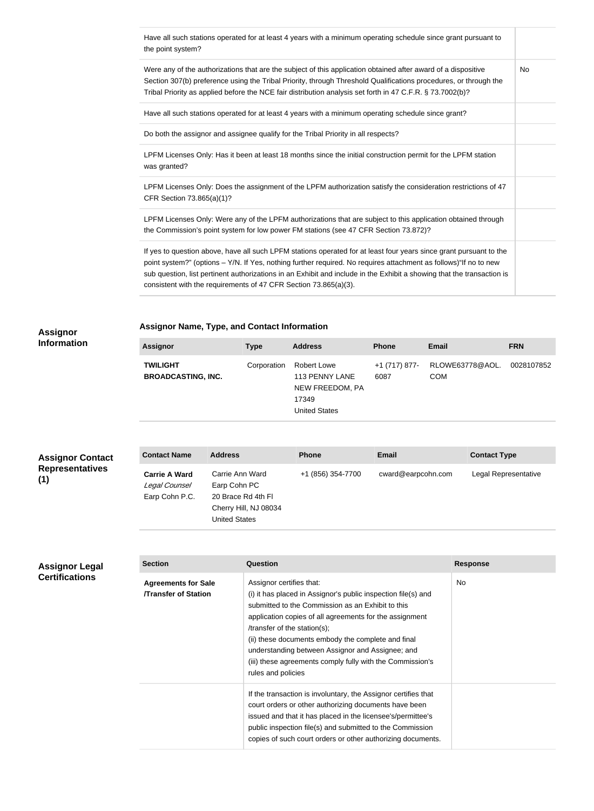| Have all such stations operated for at least 4 years with a minimum operating schedule since grant pursuant to<br>the point system?                                                                                                                                                                                                                                                                                                   |           |
|---------------------------------------------------------------------------------------------------------------------------------------------------------------------------------------------------------------------------------------------------------------------------------------------------------------------------------------------------------------------------------------------------------------------------------------|-----------|
| Were any of the authorizations that are the subject of this application obtained after award of a dispositive<br>Section 307(b) preference using the Tribal Priority, through Threshold Qualifications procedures, or through the<br>Tribal Priority as applied before the NCE fair distribution analysis set forth in 47 C.F.R. § 73.7002(b)?                                                                                        | <b>No</b> |
| Have all such stations operated for at least 4 years with a minimum operating schedule since grant?                                                                                                                                                                                                                                                                                                                                   |           |
| Do both the assignor and assignee qualify for the Tribal Priority in all respects?                                                                                                                                                                                                                                                                                                                                                    |           |
| LPFM Licenses Only: Has it been at least 18 months since the initial construction permit for the LPFM station<br>was granted?                                                                                                                                                                                                                                                                                                         |           |
| LPFM Licenses Only: Does the assignment of the LPFM authorization satisfy the consideration restrictions of 47<br>CFR Section 73.865(a)(1)?                                                                                                                                                                                                                                                                                           |           |
| LPFM Licenses Only: Were any of the LPFM authorizations that are subject to this application obtained through<br>the Commission's point system for low power FM stations (see 47 CFR Section 73.872)?                                                                                                                                                                                                                                 |           |
| If yes to question above, have all such LPFM stations operated for at least four years since grant pursuant to the<br>point system?" (options - Y/N. If Yes, nothing further required. No requires attachment as follows) "If no to new<br>sub question, list pertinent authorizations in an Exhibit and include in the Exhibit a showing that the transaction is<br>consistent with the requirements of 47 CFR Section 73.865(a)(3). |           |

## **Assignor Information**

**Assignor Name, Type, and Contact Information**

| <b>Assignor</b>                              | <b>Type</b> | <b>Address</b>                                                                           | <b>Phone</b>          | <b>Email</b>                  | <b>FRN</b> |
|----------------------------------------------|-------------|------------------------------------------------------------------------------------------|-----------------------|-------------------------------|------------|
| <b>TWILIGHT</b><br><b>BROADCASTING, INC.</b> | Corporation | <b>Robert Lowe</b><br>113 PENNY LANE<br>NEW FREEDOM, PA<br>17349<br><b>United States</b> | +1 (717) 877-<br>6087 | RLOWE63778@AOL.<br><b>COM</b> | 0028107852 |

# **Assignor Contact Representatives (1)**

| <b>Contact Name</b>                                     | <b>Address</b>                                        | <b>Phone</b>      | Email              | <b>Contact Type</b>  |
|---------------------------------------------------------|-------------------------------------------------------|-------------------|--------------------|----------------------|
| <b>Carrie A Ward</b><br>Legal Counsel<br>Earp Cohn P.C. | Carrie Ann Ward<br>Earp Cohn PC<br>20 Brace Rd 4th Fl | +1 (856) 354-7700 | cward@earpcohn.com | Legal Representative |
|                                                         | Cherry Hill, NJ 08034<br><b>United States</b>         |                   |                    |                      |

# **Assignor Legal Certifications**

| <b>Section</b>                                           | Question                                                                                                                                                                                                                                                                                                                                                                                                                               | <b>Response</b> |
|----------------------------------------------------------|----------------------------------------------------------------------------------------------------------------------------------------------------------------------------------------------------------------------------------------------------------------------------------------------------------------------------------------------------------------------------------------------------------------------------------------|-----------------|
| <b>Agreements for Sale</b><br><b>Transfer of Station</b> | Assignor certifies that:<br>(i) it has placed in Assignor's public inspection file(s) and<br>submitted to the Commission as an Exhibit to this<br>application copies of all agreements for the assignment<br>/transfer of the station(s);<br>(ii) these documents embody the complete and final<br>understanding between Assignor and Assignee; and<br>(iii) these agreements comply fully with the Commission's<br>rules and policies | No.             |
|                                                          | If the transaction is involuntary, the Assignor certifies that<br>court orders or other authorizing documents have been<br>issued and that it has placed in the licensee's/permittee's<br>public inspection file(s) and submitted to the Commission<br>copies of such court orders or other authorizing documents.                                                                                                                     |                 |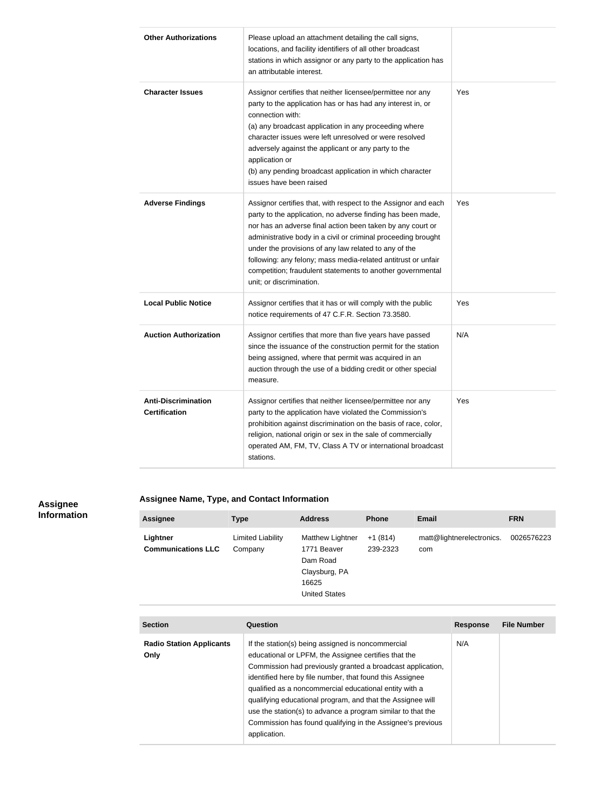| <b>Other Authorizations</b>                        | Please upload an attachment detailing the call signs,<br>locations, and facility identifiers of all other broadcast<br>stations in which assignor or any party to the application has<br>an attributable interest.                                                                                                                                                                                                                                                               |     |
|----------------------------------------------------|----------------------------------------------------------------------------------------------------------------------------------------------------------------------------------------------------------------------------------------------------------------------------------------------------------------------------------------------------------------------------------------------------------------------------------------------------------------------------------|-----|
| <b>Character Issues</b>                            | Assignor certifies that neither licensee/permittee nor any<br>party to the application has or has had any interest in, or<br>connection with:<br>(a) any broadcast application in any proceeding where<br>character issues were left unresolved or were resolved<br>adversely against the applicant or any party to the<br>application or<br>(b) any pending broadcast application in which character<br>issues have been raised                                                 | Yes |
| <b>Adverse Findings</b>                            | Assignor certifies that, with respect to the Assignor and each<br>party to the application, no adverse finding has been made,<br>nor has an adverse final action been taken by any court or<br>administrative body in a civil or criminal proceeding brought<br>under the provisions of any law related to any of the<br>following: any felony; mass media-related antitrust or unfair<br>competition; fraudulent statements to another governmental<br>unit; or discrimination. | Yes |
| <b>Local Public Notice</b>                         | Assignor certifies that it has or will comply with the public<br>notice requirements of 47 C.F.R. Section 73.3580.                                                                                                                                                                                                                                                                                                                                                               | Yes |
| <b>Auction Authorization</b>                       | Assignor certifies that more than five years have passed<br>since the issuance of the construction permit for the station<br>being assigned, where that permit was acquired in an<br>auction through the use of a bidding credit or other special<br>measure.                                                                                                                                                                                                                    | N/A |
| <b>Anti-Discrimination</b><br><b>Certification</b> | Assignor certifies that neither licensee/permittee nor any<br>party to the application have violated the Commission's<br>prohibition against discrimination on the basis of race, color,<br>religion, national origin or sex in the sale of commercially<br>operated AM, FM, TV, Class A TV or international broadcast<br>stations.                                                                                                                                              | Yes |

#### **Assignee Information**

# **Assignee Name, Type, and Contact Information**

| <b>Assignee</b>                       | Type                         | <b>Address</b>                                                                                | <b>Phone</b>          | Email                            | <b>FRN</b> |
|---------------------------------------|------------------------------|-----------------------------------------------------------------------------------------------|-----------------------|----------------------------------|------------|
| Lightner<br><b>Communications LLC</b> | Limited Liability<br>Company | Matthew Lightner<br>1771 Beaver<br>Dam Road<br>Claysburg, PA<br>16625<br><b>United States</b> | $+1(814)$<br>239-2323 | matt@lightnerelectronics.<br>com | 0026576223 |

| <b>Section</b>                          | Question                                                                                                                                                                                                                                                                                                                                                                                                                                                                                                 | <b>Response</b> | <b>File Number</b> |
|-----------------------------------------|----------------------------------------------------------------------------------------------------------------------------------------------------------------------------------------------------------------------------------------------------------------------------------------------------------------------------------------------------------------------------------------------------------------------------------------------------------------------------------------------------------|-----------------|--------------------|
| <b>Radio Station Applicants</b><br>Only | If the station(s) being assigned is noncommercial<br>educational or LPFM, the Assignee certifies that the<br>Commission had previously granted a broadcast application,<br>identified here by file number, that found this Assignee<br>qualified as a noncommercial educational entity with a<br>qualifying educational program, and that the Assignee will<br>use the station(s) to advance a program similar to that the<br>Commission has found qualifying in the Assignee's previous<br>application. | N/A             |                    |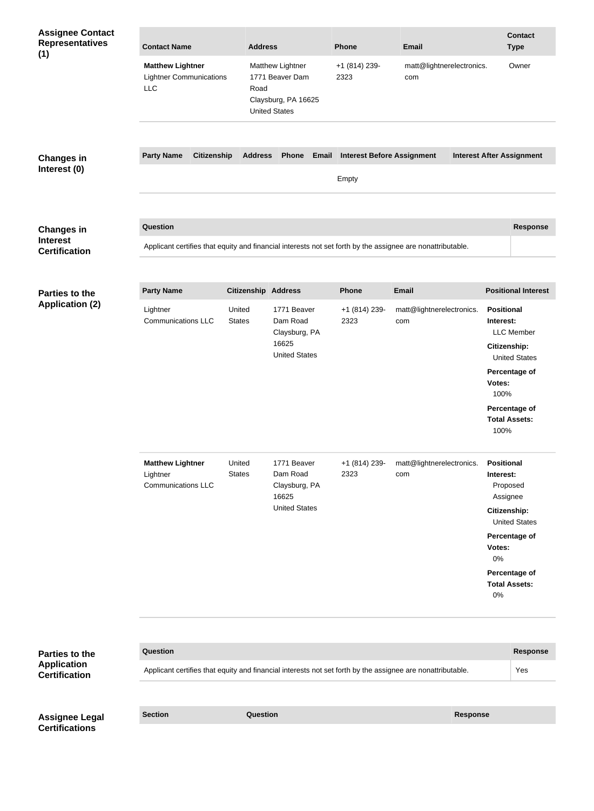| <b>Assignee Contact</b><br><b>Representatives</b><br>(1) | <b>Contact Name</b>                                                     | <b>Address</b>             |                                                                                    | Phone                             | <b>Email</b>                                                                                               |                                                                                          | <b>Contact</b><br><b>Type</b>             |
|----------------------------------------------------------|-------------------------------------------------------------------------|----------------------------|------------------------------------------------------------------------------------|-----------------------------------|------------------------------------------------------------------------------------------------------------|------------------------------------------------------------------------------------------|-------------------------------------------|
|                                                          | <b>Matthew Lightner</b><br><b>Lightner Communications</b><br><b>LLC</b> | Road                       | Matthew Lightner<br>1771 Beaver Dam<br>Claysburg, PA 16625<br><b>United States</b> | +1 (814) 239-<br>2323             | matt@lightnerelectronics.<br>com                                                                           |                                                                                          | Owner                                     |
|                                                          |                                                                         |                            |                                                                                    |                                   |                                                                                                            |                                                                                          |                                           |
| <b>Changes in</b>                                        | <b>Party Name</b><br><b>Citizenship</b>                                 | <b>Address</b>             | <b>Phone</b><br>Email                                                              | <b>Interest Before Assignment</b> |                                                                                                            | <b>Interest After Assignment</b>                                                         |                                           |
| Interest (0)                                             |                                                                         |                            |                                                                                    | Empty                             |                                                                                                            |                                                                                          |                                           |
| <b>Changes in</b>                                        | <b>Question</b>                                                         |                            |                                                                                    |                                   |                                                                                                            |                                                                                          | <b>Response</b>                           |
| <b>Interest</b><br><b>Certification</b>                  |                                                                         |                            |                                                                                    |                                   | Applicant certifies that equity and financial interests not set forth by the assignee are nonattributable. |                                                                                          |                                           |
|                                                          |                                                                         |                            |                                                                                    |                                   |                                                                                                            |                                                                                          |                                           |
| <b>Parties to the</b>                                    | <b>Party Name</b>                                                       | <b>Citizenship Address</b> |                                                                                    | <b>Phone</b>                      | <b>Email</b>                                                                                               |                                                                                          | <b>Positional Interest</b>                |
| <b>Application (2)</b>                                   | Lightner<br><b>Communications LLC</b>                                   | United<br><b>States</b>    | 1771 Beaver<br>Dam Road<br>Claysburg, PA<br>16625<br><b>United States</b>          | +1 (814) 239-<br>2323             | matt@lightnerelectronics.<br>com                                                                           | <b>Positional</b><br>Interest:<br><b>Citizenship:</b><br>Percentage of<br>Votes:<br>100% | <b>LLC</b> Member<br><b>United States</b> |
|                                                          |                                                                         |                            |                                                                                    |                                   |                                                                                                            | Percentage of<br><b>Total Assets:</b><br>100%                                            |                                           |
|                                                          | <b>Matthew Lightner</b><br>Lightner<br><b>Communications LLC</b>        | United<br><b>States</b>    | 1771 Beaver<br>Dam Road<br>Claysburg, PA<br>16625<br><b>United States</b>          | +1 (814) 239-<br>2323             | matt@lightnerelectronics.<br>com                                                                           | <b>Positional</b><br>Interest:<br>Proposed<br>Assignee<br>Citizenship:                   | <b>United States</b>                      |
|                                                          |                                                                         |                            |                                                                                    |                                   |                                                                                                            | Percentage of<br>Votes:<br>0%<br>Percentage of<br><b>Total Assets:</b><br>0%             |                                           |
|                                                          |                                                                         |                            |                                                                                    |                                   |                                                                                                            |                                                                                          |                                           |
| Parties to the                                           | Question                                                                |                            |                                                                                    |                                   |                                                                                                            |                                                                                          | <b>Response</b>                           |
| <b>Application</b><br><b>Certification</b>               |                                                                         |                            |                                                                                    |                                   | Applicant certifies that equity and financial interests not set forth by the assignee are nonattributable. |                                                                                          | Yes                                       |
|                                                          |                                                                         |                            |                                                                                    |                                   |                                                                                                            |                                                                                          |                                           |
| <b>Assignee Legal</b><br><b>Certifications</b>           | <b>Section</b>                                                          | Question                   |                                                                                    |                                   | <b>Response</b>                                                                                            |                                                                                          |                                           |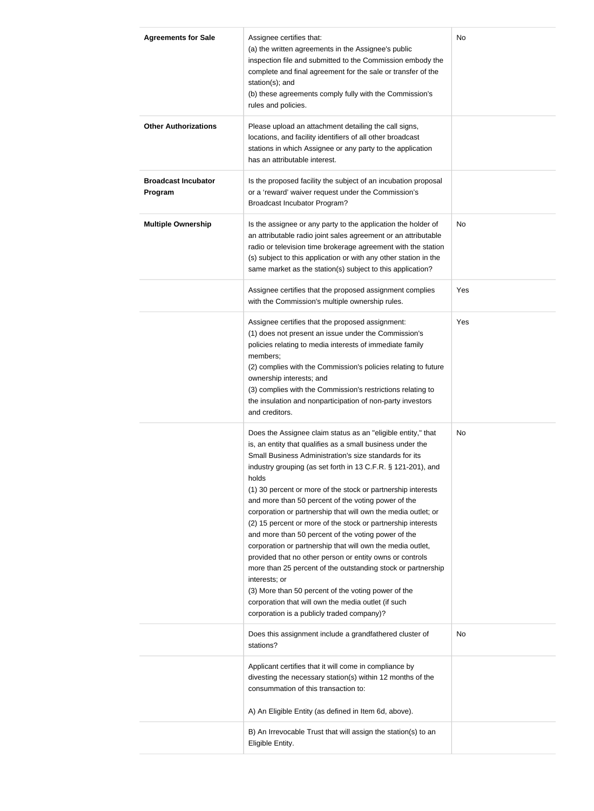| <b>Agreements for Sale</b>            | Assignee certifies that:<br>(a) the written agreements in the Assignee's public<br>inspection file and submitted to the Commission embody the<br>complete and final agreement for the sale or transfer of the<br>station(s); and<br>(b) these agreements comply fully with the Commission's<br>rules and policies.                                                                                                                                                                                                                                                                                                                                                                                                                                                                                                                                                                                                                                  | No        |
|---------------------------------------|-----------------------------------------------------------------------------------------------------------------------------------------------------------------------------------------------------------------------------------------------------------------------------------------------------------------------------------------------------------------------------------------------------------------------------------------------------------------------------------------------------------------------------------------------------------------------------------------------------------------------------------------------------------------------------------------------------------------------------------------------------------------------------------------------------------------------------------------------------------------------------------------------------------------------------------------------------|-----------|
| <b>Other Authorizations</b>           | Please upload an attachment detailing the call signs,<br>locations, and facility identifiers of all other broadcast<br>stations in which Assignee or any party to the application<br>has an attributable interest.                                                                                                                                                                                                                                                                                                                                                                                                                                                                                                                                                                                                                                                                                                                                  |           |
| <b>Broadcast Incubator</b><br>Program | Is the proposed facility the subject of an incubation proposal<br>or a 'reward' waiver request under the Commission's<br><b>Broadcast Incubator Program?</b>                                                                                                                                                                                                                                                                                                                                                                                                                                                                                                                                                                                                                                                                                                                                                                                        |           |
| <b>Multiple Ownership</b>             | Is the assignee or any party to the application the holder of<br>an attributable radio joint sales agreement or an attributable<br>radio or television time brokerage agreement with the station<br>(s) subject to this application or with any other station in the<br>same market as the station(s) subject to this application?                                                                                                                                                                                                                                                                                                                                                                                                                                                                                                                                                                                                                  | <b>No</b> |
|                                       | Assignee certifies that the proposed assignment complies<br>with the Commission's multiple ownership rules.                                                                                                                                                                                                                                                                                                                                                                                                                                                                                                                                                                                                                                                                                                                                                                                                                                         | Yes       |
|                                       | Assignee certifies that the proposed assignment:<br>(1) does not present an issue under the Commission's<br>policies relating to media interests of immediate family<br>members;<br>(2) complies with the Commission's policies relating to future<br>ownership interests; and<br>(3) complies with the Commission's restrictions relating to<br>the insulation and nonparticipation of non-party investors<br>and creditors.                                                                                                                                                                                                                                                                                                                                                                                                                                                                                                                       | Yes       |
|                                       | Does the Assignee claim status as an "eligible entity," that<br>is, an entity that qualifies as a small business under the<br>Small Business Administration's size standards for its<br>industry grouping (as set forth in 13 C.F.R. § 121-201), and<br>holds<br>(1) 30 percent or more of the stock or partnership interests<br>and more than 50 percent of the voting power of the<br>corporation or partnership that will own the media outlet; or<br>(2) 15 percent or more of the stock or partnership interests<br>and more than 50 percent of the voting power of the<br>corporation or partnership that will own the media outlet,<br>provided that no other person or entity owns or controls<br>more than 25 percent of the outstanding stock or partnership<br>interests; or<br>(3) More than 50 percent of the voting power of the<br>corporation that will own the media outlet (if such<br>corporation is a publicly traded company)? | No        |
|                                       | Does this assignment include a grandfathered cluster of<br>stations?                                                                                                                                                                                                                                                                                                                                                                                                                                                                                                                                                                                                                                                                                                                                                                                                                                                                                | No        |
|                                       | Applicant certifies that it will come in compliance by<br>divesting the necessary station(s) within 12 months of the<br>consummation of this transaction to:                                                                                                                                                                                                                                                                                                                                                                                                                                                                                                                                                                                                                                                                                                                                                                                        |           |
|                                       | A) An Eligible Entity (as defined in Item 6d, above).<br>B) An Irrevocable Trust that will assign the station(s) to an                                                                                                                                                                                                                                                                                                                                                                                                                                                                                                                                                                                                                                                                                                                                                                                                                              |           |
|                                       | Eligible Entity.                                                                                                                                                                                                                                                                                                                                                                                                                                                                                                                                                                                                                                                                                                                                                                                                                                                                                                                                    |           |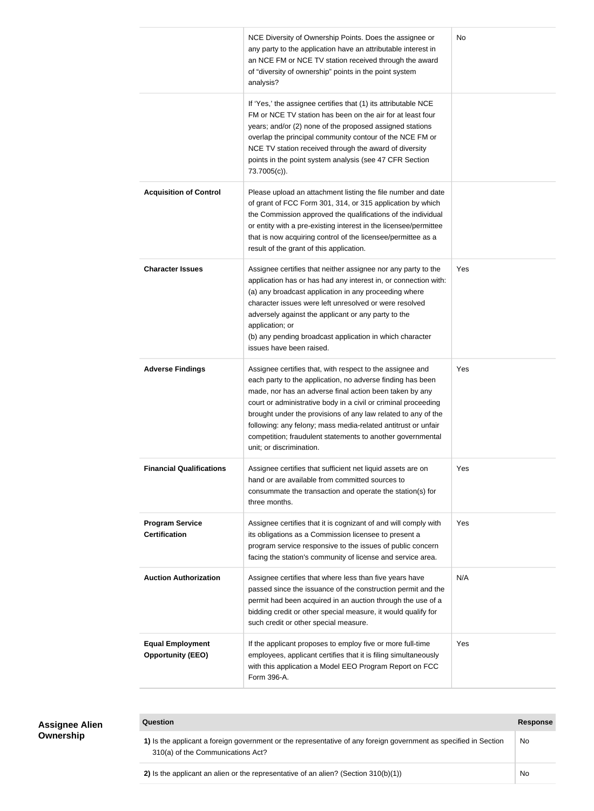|                                                     | NCE Diversity of Ownership Points. Does the assignee or<br>any party to the application have an attributable interest in<br>an NCE FM or NCE TV station received through the award<br>of "diversity of ownership" points in the point system<br>analysis?                                                                                                                                                                                                                        | No  |
|-----------------------------------------------------|----------------------------------------------------------------------------------------------------------------------------------------------------------------------------------------------------------------------------------------------------------------------------------------------------------------------------------------------------------------------------------------------------------------------------------------------------------------------------------|-----|
|                                                     | If 'Yes,' the assignee certifies that (1) its attributable NCE<br>FM or NCE TV station has been on the air for at least four<br>years; and/or (2) none of the proposed assigned stations<br>overlap the principal community contour of the NCE FM or<br>NCE TV station received through the award of diversity<br>points in the point system analysis (see 47 CFR Section<br>73.7005(c)).                                                                                        |     |
| <b>Acquisition of Control</b>                       | Please upload an attachment listing the file number and date<br>of grant of FCC Form 301, 314, or 315 application by which<br>the Commission approved the qualifications of the individual<br>or entity with a pre-existing interest in the licensee/permittee<br>that is now acquiring control of the licensee/permittee as a<br>result of the grant of this application.                                                                                                       |     |
| <b>Character Issues</b>                             | Assignee certifies that neither assignee nor any party to the<br>application has or has had any interest in, or connection with:<br>(a) any broadcast application in any proceeding where<br>character issues were left unresolved or were resolved<br>adversely against the applicant or any party to the<br>application; or<br>(b) any pending broadcast application in which character<br>issues have been raised.                                                            | Yes |
| <b>Adverse Findings</b>                             | Assignee certifies that, with respect to the assignee and<br>each party to the application, no adverse finding has been<br>made, nor has an adverse final action been taken by any<br>court or administrative body in a civil or criminal proceeding<br>brought under the provisions of any law related to any of the<br>following: any felony; mass media-related antitrust or unfair<br>competition; fraudulent statements to another governmental<br>unit; or discrimination. | Yes |
| <b>Financial Qualifications</b>                     | Assignee certifies that sufficient net liquid assets are on<br>hand or are available from committed sources to<br>consummate the transaction and operate the station(s) for<br>three months.                                                                                                                                                                                                                                                                                     | Yes |
| <b>Program Service</b><br><b>Certification</b>      | Assignee certifies that it is cognizant of and will comply with<br>its obligations as a Commission licensee to present a<br>program service responsive to the issues of public concern<br>facing the station's community of license and service area.                                                                                                                                                                                                                            | Yes |
| <b>Auction Authorization</b>                        | Assignee certifies that where less than five years have<br>passed since the issuance of the construction permit and the<br>permit had been acquired in an auction through the use of a<br>bidding credit or other special measure, it would qualify for<br>such credit or other special measure.                                                                                                                                                                                 | N/A |
| <b>Equal Employment</b><br><b>Opportunity (EEO)</b> | If the applicant proposes to employ five or more full-time<br>employees, applicant certifies that it is filing simultaneously<br>with this application a Model EEO Program Report on FCC<br>Form 396-A.                                                                                                                                                                                                                                                                          | Yes |

### **Assignee Alien Ownership**

### **Question Response**

| 1) Is the applicant a foreign government or the representative of any foreign government as specified in Section<br>310(a) of the Communications Act? | No |
|-------------------------------------------------------------------------------------------------------------------------------------------------------|----|
| 2) Is the applicant an alien or the representative of an alien? (Section $310(b)(1)$ )                                                                | No |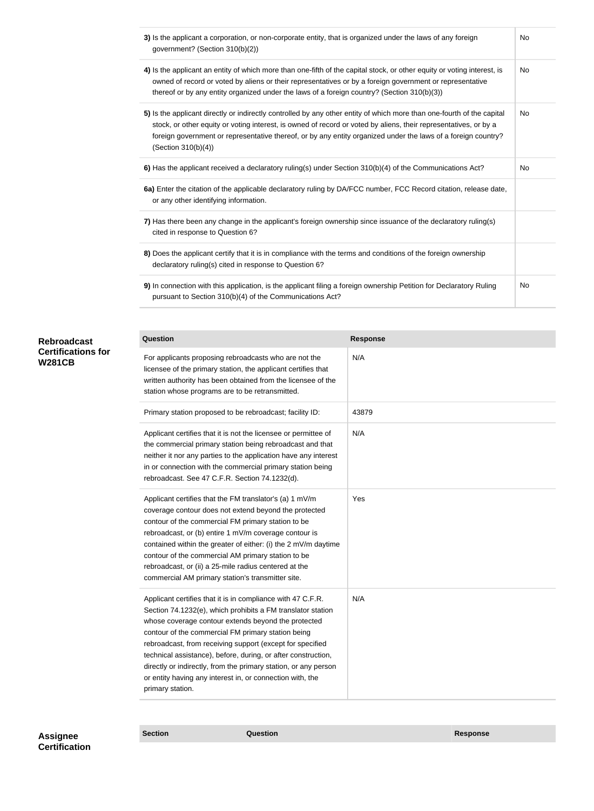| 3) Is the applicant a corporation, or non-corporate entity, that is organized under the laws of any foreign<br>government? (Section 310(b)(2))                                                                                                                                                                                                                                     | No  |
|------------------------------------------------------------------------------------------------------------------------------------------------------------------------------------------------------------------------------------------------------------------------------------------------------------------------------------------------------------------------------------|-----|
| 4) Is the applicant an entity of which more than one-fifth of the capital stock, or other equity or voting interest, is<br>owned of record or voted by aliens or their representatives or by a foreign government or representative<br>thereof or by any entity organized under the laws of a foreign country? (Section 310(b)(3))                                                 | No. |
| 5) Is the applicant directly or indirectly controlled by any other entity of which more than one-fourth of the capital<br>stock, or other equity or voting interest, is owned of record or voted by aliens, their representatives, or by a<br>foreign government or representative thereof, or by any entity organized under the laws of a foreign country?<br>(Section 310(b)(4)) | No. |
| 6) Has the applicant received a declaratory ruling(s) under Section 310(b)(4) of the Communications Act?                                                                                                                                                                                                                                                                           | No. |
| 6a) Enter the citation of the applicable declaratory ruling by DA/FCC number, FCC Record citation, release date,<br>or any other identifying information.                                                                                                                                                                                                                          |     |
| 7) Has there been any change in the applicant's foreign ownership since issuance of the declaratory ruling(s)<br>cited in response to Question 6?                                                                                                                                                                                                                                  |     |
| 8) Does the applicant certify that it is in compliance with the terms and conditions of the foreign ownership<br>declaratory ruling(s) cited in response to Question 6?                                                                                                                                                                                                            |     |
| 9) In connection with this application, is the applicant filing a foreign ownership Petition for Declaratory Ruling<br>pursuant to Section 310(b)(4) of the Communications Act?                                                                                                                                                                                                    | No  |

| <b>Rebroadcast</b>        |
|---------------------------|
| <b>Certifications for</b> |
| <b>W281CB</b>             |

| Question                                                                                                                                                                                                                                                                                                                                                                                                                                                                                                                  | <b>Response</b> |
|---------------------------------------------------------------------------------------------------------------------------------------------------------------------------------------------------------------------------------------------------------------------------------------------------------------------------------------------------------------------------------------------------------------------------------------------------------------------------------------------------------------------------|-----------------|
| For applicants proposing rebroadcasts who are not the<br>licensee of the primary station, the applicant certifies that<br>written authority has been obtained from the licensee of the<br>station whose programs are to be retransmitted.                                                                                                                                                                                                                                                                                 | N/A             |
| Primary station proposed to be rebroadcast; facility ID:                                                                                                                                                                                                                                                                                                                                                                                                                                                                  | 43879           |
| Applicant certifies that it is not the licensee or permittee of<br>the commercial primary station being rebroadcast and that<br>neither it nor any parties to the application have any interest<br>in or connection with the commercial primary station being<br>rebroadcast. See 47 C.F.R. Section 74.1232(d).                                                                                                                                                                                                           | N/A             |
| Applicant certifies that the FM translator's (a) 1 mV/m<br>coverage contour does not extend beyond the protected<br>contour of the commercial FM primary station to be<br>rebroadcast, or (b) entire 1 mV/m coverage contour is<br>contained within the greater of either: (i) the 2 mV/m daytime<br>contour of the commercial AM primary station to be<br>rebroadcast, or (ii) a 25-mile radius centered at the<br>commercial AM primary station's transmitter site.                                                     | Yes             |
| Applicant certifies that it is in compliance with 47 C.F.R.<br>Section 74.1232(e), which prohibits a FM translator station<br>whose coverage contour extends beyond the protected<br>contour of the commercial FM primary station being<br>rebroadcast, from receiving support (except for specified<br>technical assistance), before, during, or after construction,<br>directly or indirectly, from the primary station, or any person<br>or entity having any interest in, or connection with, the<br>primary station. | N/A             |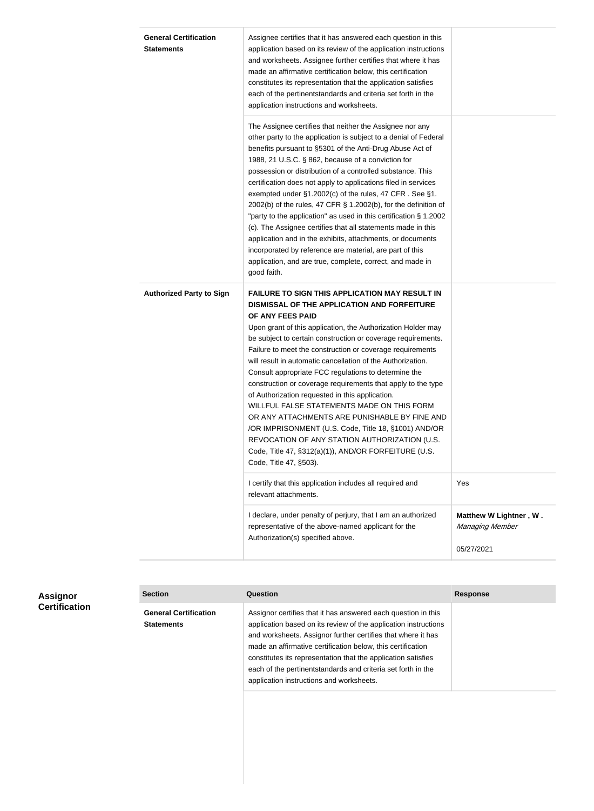| <b>General Certification</b><br><b>Statements</b> | Assignee certifies that it has answered each question in this<br>application based on its review of the application instructions<br>and worksheets. Assignee further certifies that where it has<br>made an affirmative certification below, this certification<br>constitutes its representation that the application satisfies<br>each of the pertinentstandards and criteria set forth in the<br>application instructions and worksheets.                                                                                                                                                                                                                                                                                                                                                                                                               |                                                         |
|---------------------------------------------------|------------------------------------------------------------------------------------------------------------------------------------------------------------------------------------------------------------------------------------------------------------------------------------------------------------------------------------------------------------------------------------------------------------------------------------------------------------------------------------------------------------------------------------------------------------------------------------------------------------------------------------------------------------------------------------------------------------------------------------------------------------------------------------------------------------------------------------------------------------|---------------------------------------------------------|
|                                                   | The Assignee certifies that neither the Assignee nor any<br>other party to the application is subject to a denial of Federal<br>benefits pursuant to §5301 of the Anti-Drug Abuse Act of<br>1988, 21 U.S.C. § 862, because of a conviction for<br>possession or distribution of a controlled substance. This<br>certification does not apply to applications filed in services<br>exempted under §1.2002(c) of the rules, 47 CFR. See §1.<br>2002(b) of the rules, 47 CFR § 1.2002(b), for the definition of<br>"party to the application" as used in this certification $\S 1.2002$<br>(c). The Assignee certifies that all statements made in this<br>application and in the exhibits, attachments, or documents<br>incorporated by reference are material, are part of this<br>application, and are true, complete, correct, and made in<br>good faith. |                                                         |
| <b>Authorized Party to Sign</b>                   | <b>FAILURE TO SIGN THIS APPLICATION MAY RESULT IN</b><br>DISMISSAL OF THE APPLICATION AND FORFEITURE<br>OF ANY FEES PAID<br>Upon grant of this application, the Authorization Holder may<br>be subject to certain construction or coverage requirements.<br>Failure to meet the construction or coverage requirements<br>will result in automatic cancellation of the Authorization.<br>Consult appropriate FCC regulations to determine the<br>construction or coverage requirements that apply to the type<br>of Authorization requested in this application.<br>WILLFUL FALSE STATEMENTS MADE ON THIS FORM<br>OR ANY ATTACHMENTS ARE PUNISHABLE BY FINE AND<br>/OR IMPRISONMENT (U.S. Code, Title 18, §1001) AND/OR<br>REVOCATION OF ANY STATION AUTHORIZATION (U.S.<br>Code, Title 47, §312(a)(1)), AND/OR FORFEITURE (U.S.<br>Code, Title 47, §503).  |                                                         |
|                                                   | I certify that this application includes all required and<br>relevant attachments.                                                                                                                                                                                                                                                                                                                                                                                                                                                                                                                                                                                                                                                                                                                                                                         | Yes                                                     |
|                                                   | I declare, under penalty of perjury, that I am an authorized<br>representative of the above-named applicant for the<br>Authorization(s) specified above.                                                                                                                                                                                                                                                                                                                                                                                                                                                                                                                                                                                                                                                                                                   | Matthew W Lightner, W.<br>Managing Member<br>05/27/2021 |
|                                                   |                                                                                                                                                                                                                                                                                                                                                                                                                                                                                                                                                                                                                                                                                                                                                                                                                                                            |                                                         |

| <b>Assignor</b><br><b>Certification</b> | <b>Section</b>                                    | Question                                                                                                                                                                                                                                                                                                                                                                                                                                     | Response |
|-----------------------------------------|---------------------------------------------------|----------------------------------------------------------------------------------------------------------------------------------------------------------------------------------------------------------------------------------------------------------------------------------------------------------------------------------------------------------------------------------------------------------------------------------------------|----------|
|                                         | <b>General Certification</b><br><b>Statements</b> | Assignor certifies that it has answered each question in this<br>application based on its review of the application instructions<br>and worksheets. Assignor further certifies that where it has<br>made an affirmative certification below, this certification<br>constitutes its representation that the application satisfies<br>each of the pertinentstandards and criteria set forth in the<br>application instructions and worksheets. |          |
|                                         |                                                   |                                                                                                                                                                                                                                                                                                                                                                                                                                              |          |